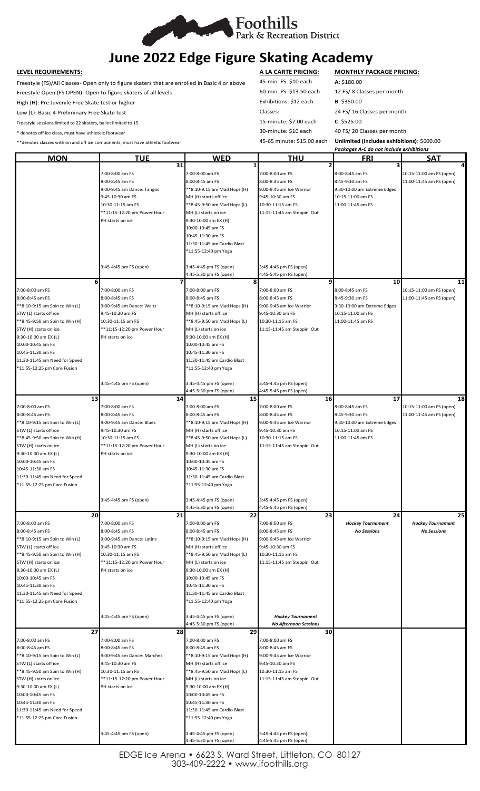

# **June 2022 Edge Figure Skating Academy**

Freestyle (FS)/All Classes- Open only to figure skaters that are enrolled in Basic 4 or above 45-min. FS: \$10 each **A**: \$180.00 Freestyle Open (FS OPEN)- Open to figure skaters of all levels 60-min. FS: \$13.50 each 12 FS/ 8 Classes per month

High (H): Pre Juvenile Free Skate test or higher **Exhibitions: \$12 each** B: \$350.00

Freestyle sessions limited to 22 skaters, ballet limited to 15 15-minute: \$7.00 each **C**: \$525.00

\* denotes off ice class, must have athleteic footwear 30-minute: \$10 each 40 FS/ 20 Classes per month

\*\*denotes classes with on and off ice components, must have athletic footwear 45-65 minute: \$15.00 each **Unlimited (includes exhibitions)**: \$600.00

**LEVEL REQUIREMENTS: A LA CARTE PRICING: MONTHLY PACKAGE PRICING:** Low (L): Basic 4-Preliminary Free Skate test Classes: 24 FS/ 16 Classes per month

|                                |                             |                             | Packages A-C do not include exhibitions |                             |                          |
|--------------------------------|-----------------------------|-----------------------------|-----------------------------------------|-----------------------------|--------------------------|
| <b>MON</b>                     | <b>TUE</b>                  | <b>WED</b>                  | <b>THU</b>                              | FRI                         | SAT                      |
|                                | 31                          |                             |                                         |                             |                          |
|                                | 7:00-8:00 am FS             | 7:00-8:00 am FS             | 7:00-8:00 am FS                         | 8:00-8:45 am FS             | 10:15-11:00 am FS (open) |
|                                | 8:00-8:45 am FS             | 8:00-8:45 am FS             | 8:00-8:45 am FS                         | 8:45-9:30 am FS             | 11:00-11:45 am FS (open) |
|                                | 9:00-9:45 am Dance: Tangos  | **8:10-9:15 am Mad Hops (H) | 9:00-9:45 am Ice Warrior                | 9:30-10:00 am Extreme Edges |                          |
|                                | 9:45-10:30 am FS            | MH (H) starts off ice       | 9:45-10:30 am FS                        | 10:15-11:00 am FS           |                          |
|                                |                             |                             |                                         |                             |                          |
|                                | 10:30-11:15 am FS           | **8:45-9:50 am Mad Hops (L) | 10:30-11:15 am FS                       | 11:00-11:45 am FS           |                          |
|                                | **11:15-12:20 pm Power Hour | MH (L) starts on ice        | 11:15-11:45 am Steppin' Out             |                             |                          |
|                                | PH starts on ice            | 9:30-10:00 am EX (H)        |                                         |                             |                          |
|                                |                             | 10:00-10:45 am FS           |                                         |                             |                          |
|                                |                             | 10:45-11:30 am FS           |                                         |                             |                          |
|                                |                             | 11:30-11:45 am Cardio Blast |                                         |                             |                          |
|                                |                             | *11:55-12:40 pm Yoga        |                                         |                             |                          |
|                                |                             |                             |                                         |                             |                          |
|                                | 3:45-4:45 pm FS (open)      | 3:45-4:45 pm FS (open)      | 3:45-4:45 pm FS (open)                  |                             |                          |
|                                |                             | 4:45-5:30 pm FS (open)      | 4:45-5:45 pm FS (open)                  |                             |                          |
|                                | 6                           | 8                           | 9                                       | 10                          | 11                       |
| 7:00-8:00 am FS                | 7:00-8:00 am FS             | 7:00-8:00 am FS             | 7:00-8:00 am FS                         | 8:00-8:45 am FS             | 10:15-11:00 am FS (open) |
|                                |                             |                             |                                         |                             |                          |
| 8:00-8:45 am FS                | 8:00-8:45 am FS             | 8:00-8:45 am FS             | 8:00-8:45 am FS                         | 8:45-9:30 am FS             | 11:00-11:45 am FS (open) |
| **8:10-9:15 am Spin to Win (L) | 9:00-9:45 am Dance: Waltz   | **8:10-9:15 am Mad Hops (H) | 9:00-9:45 am Ice Warrior                | 9:30-10:00 am Extreme Edges |                          |
| STW (L) starts off ice         | 9:45-10:30 am FS            | MH (H) starts off ice       | 9:45-10:30 am FS                        | 10:15-11:00 am FS           |                          |
| **8:45-9:50 am Spin to Win (H) | 10:30-11:15 am FS           | **8:45-9:50 am Mad Hops (L) | 10:30-11:15 am FS                       | 11:00-11:45 am FS           |                          |
| STW (H) starts on ice          | **11:15-12:20 pm Power Hour | MH (L) starts on ice        | 11:15-11:45 am Steppin' Out             |                             |                          |
| 9:30-10:00 am EX (L)           | PH starts on ice            | 9:30-10:00 am EX (H)        |                                         |                             |                          |
| 10:00-10:45 am FS              |                             | 10:00-10:45 am FS           |                                         |                             |                          |
| 10:45-11:30 am FS              |                             | 10:45-11:30 am FS           |                                         |                             |                          |
| 11:30-11:45 am Need for Speed  |                             | 11:30-11:45 am Cardio Blast |                                         |                             |                          |
|                                |                             |                             |                                         |                             |                          |
| *11:55-12:25 pm Core Fusion    |                             | *11:55-12:40 pm Yoga        |                                         |                             |                          |
|                                |                             |                             |                                         |                             |                          |
|                                | 3:45-4:45 pm FS (open)      | 3:45-4:45 pm FS (open)      | 3:45-4:45 pm FS (open)                  |                             |                          |
|                                |                             | 4:45-5:30 pm FS (open)      | 4:45-5:45 pm FS (open)                  |                             |                          |
|                                | 13<br>14                    | 15                          | <b>16</b>                               | 17                          | 18                       |
| 7:00-8:00 am FS                | 7:00-8:00 am FS             | 7:00-8:00 am FS             | 7:00-8:00 am FS                         | 8:00-8:45 am FS             | 10:15-11:00 am FS (open) |
| 8:00-8:45 am FS                | 8:00-8:45 am FS             | 8:00-8:45 am FS             | 8:00-8:45 am FS                         | 8:45-9:30 am FS             | 11:00-11:45 am FS (open) |
| **8:10-9:15 am Spin to Win (L) | 9:00-9:45 am Dance: Blues   | **8:10-9:15 am Mad Hops (H) | 9:00-9:45 am Ice Warrior                | 9:30-10:00 am Extreme Edges |                          |
| STW (L) starts off ice         | 9:45-10:30 am FS            | MH (H) starts off ice       | 9:45-10:30 am FS                        | 10:15-11:00 am FS           |                          |
| **8:45-9:50 am Spin to Win (H) | 10:30-11:15 am FS           | **8:45-9:50 am Mad Hops (L) | 10:30-11:15 am FS                       | 11:00-11:45 am FS           |                          |
|                                |                             |                             |                                         |                             |                          |
| STW (H) starts on ice          | **11:15-12:20 pm Power Hour | MH (L) starts on ice        | 11:15-11:45 am Steppin' Out             |                             |                          |
| 9:30-10:00 am EX (L)           | PH starts on ice            | 9:30-10:00 am EX (H)        |                                         |                             |                          |
| 10:00-10:45 am FS              |                             | 10:00-10:45 am FS           |                                         |                             |                          |
| 10:45-11:30 am FS              |                             | 10:45-11:30 am FS           |                                         |                             |                          |
| 11:30-11:45 am Need for Speed  |                             | 11:30-11:45 am Cardio Blast |                                         |                             |                          |
| *11:55-12:25 pm Core Fusion    |                             | *11:55-12:40 pm Yoga        |                                         |                             |                          |
|                                |                             |                             |                                         |                             |                          |
|                                | 3:45-4:45 pm FS (open)      | 3:45-4:45 pm FS (open)      | 3:45-4:45 pm FS (open)                  |                             |                          |
|                                |                             | 4:45-5:30 pm FS (open)      | 4:45-5:45 pm FS (open)                  |                             |                          |
|                                | 20<br>21                    | 22                          | 23                                      | 24                          | 25                       |
| 7:00-8:00 am FS                | 7:00-8:00 am FS             | 7:00-8:00 am FS             | 7:00-8:00 am FS                         | <b>Hockey Tournament</b>    | <b>Hockey Tournament</b> |
| 8:00-8:45 am FS                | 8:00-8:45 am FS             | 8:00-8:45 am FS             | 8:00-8:45 am FS                         | <b>No Sessions</b>          | <b>No Sessions</b>       |
|                                |                             |                             |                                         |                             |                          |
| **8:10-9:15 am Spin to Win (L) | 9:00-9:45 am Dance: Latins  | **8:10-9:15 am Mad Hops (H) | 9:00-9:45 am Ice Warrior                |                             |                          |
| STW (L) starts off ice         | 9:45-10:30 am FS            | MH (H) starts off ice       | 9:45-10:30 am FS                        |                             |                          |
| **8:45-9:50 am Spin to Win (H) | 10:30-11:15 am FS           | **8:45-9:50 am Mad Hops (L) | 10:30-11:15 am FS                       |                             |                          |
| STW (H) starts on ice          | **11:15-12:20 pm Power Hour | MH (L) starts on ice        | 11:15-11:45 am Steppin' Out             |                             |                          |
| 9:30-10:00 am EX (L)           | PH starts on ice            | 9:30-10:00 am EX (H)        |                                         |                             |                          |
| 10:00-10:45 am FS              |                             | 10:00-10:45 am FS           |                                         |                             |                          |
| 10:45-11:30 am FS              |                             | 10:45-11:30 am FS           |                                         |                             |                          |
| 11:30-11:45 am Need for Speed  |                             | 11:30-11:45 am Cardio Blast |                                         |                             |                          |
| *11:55-12:25 pm Core Fusion    |                             | *11:55-12:40 pm Yoga        |                                         |                             |                          |
|                                |                             |                             |                                         |                             |                          |
|                                |                             |                             |                                         |                             |                          |
|                                | 3:45-4:45 pm FS (open)      | 3:45-4:45 pm FS (open)      | <b>Hockey Tournament</b>                |                             |                          |
|                                |                             | 4:45-5:30 pm FS (open)      | <b>No Afternoon Sessions</b>            |                             |                          |
|                                | 27<br>28                    | 29                          | 30                                      |                             |                          |
| 7:00-8:00 am FS                | 7:00-8:00 am FS             | 7:00-8:00 am FS             | 7:00-8:00 am FS                         |                             |                          |
| 8:00-8:45 am FS                | 8:00-8:45 am FS             | 8:00-8:45 am FS             | 8:00-8:45 am FS                         |                             |                          |
| **8:10-9:15 am Spin to Win (L) | 9:00-9:45 am Dance: Marches | **8:10-9:15 am Mad Hops (H) | 9:00-9:45 am Ice Warrior                |                             |                          |
| STW (L) starts off ice         | 9:45-10:30 am FS            | MH (H) starts off ice       | 9:45-10:30 am FS                        |                             |                          |
| **8:45-9:50 am Spin to Win (H) | 10:30-11:15 am FS           | **8:45-9:50 am Mad Hops (L) | 10:30-11:15 am FS                       |                             |                          |
| STW (H) starts on ice          | **11:15-12:20 pm Power Hour | MH (L) starts on ice        | 11:15-11:45 am Steppin' Out             |                             |                          |
| 9:30-10:00 am EX (L)           | PH starts on ice            | 9:30-10:00 am EX (H)        |                                         |                             |                          |
|                                |                             |                             |                                         |                             |                          |
| 10:00-10:45 am FS              |                             | 10:00-10:45 am FS           |                                         |                             |                          |
| 10:45-11:30 am FS              |                             | 10:45-11:30 am FS           |                                         |                             |                          |
| 11:30-11:45 am Need for Speed  |                             | 11:30-11:45 am Cardio Blast |                                         |                             |                          |
| *11:55-12:25 pm Core Fusion    |                             | *11:55-12:40 pm Yoga        |                                         |                             |                          |
|                                |                             |                             |                                         |                             |                          |
|                                | 3:45-4:45 pm FS (open)      | 3:45-4:45 pm FS (open)      | 3:45-4:45 pm FS (open)                  |                             |                          |
|                                |                             | 4:45-5:30 pm FS (open)      | 4:45-5:45 pm FS (open)                  |                             |                          |

EDGE Ice Arena • 6623 S. Ward Street, Littleton, CO 80127 303-409-2222 • www.ifoothills.org